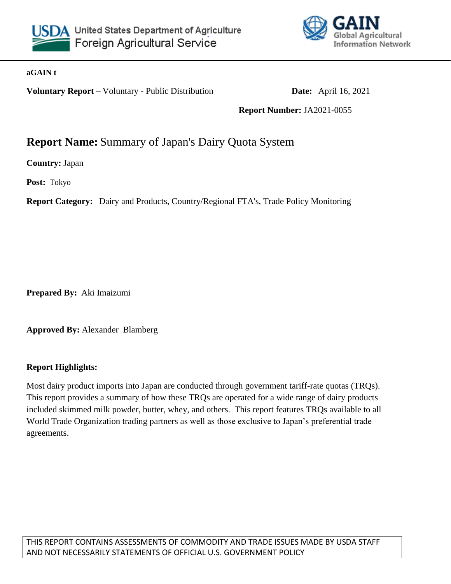



#### **aGAIN t**

**Voluntary Report –** Voluntary - Public Distribution **Date:** April 16, 2021

**Report Number:** JA2021-0055

# **Report Name:** Summary of Japan's Dairy Quota System

**Country:** Japan

**Post:** Tokyo

**Report Category:** Dairy and Products, Country/Regional FTA's, Trade Policy Monitoring

**Prepared By:** Aki Imaizumi

**Approved By:** Alexander Blamberg

#### **Report Highlights:**

Most dairy product imports into Japan are conducted through government tariff-rate quotas (TRQs). This report provides a summary of how these TRQs are operated for a wide range of dairy products included skimmed milk powder, butter, whey, and others. This report features TRQs available to all World Trade Organization trading partners as well as those exclusive to Japan's preferential trade agreements.

THIS REPORT CONTAINS ASSESSMENTS OF COMMODITY AND TRADE ISSUES MADE BY USDA STAFF AND NOT NECESSARILY STATEMENTS OF OFFICIAL U.S. GOVERNMENT POLICY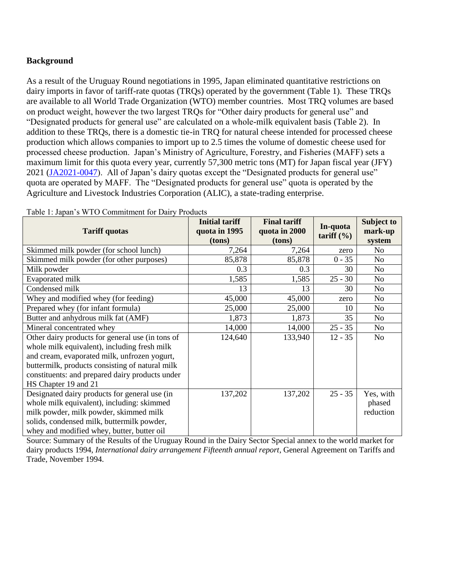#### **Background**

As a result of the Uruguay Round negotiations in 1995, Japan eliminated quantitative restrictions on dairy imports in favor of tariff-rate quotas (TRQs) operated by the government (Table 1). These TRQs are available to all World Trade Organization (WTO) member countries. Most TRQ volumes are based on product weight, however the two largest TRQs for "Other dairy products for general use" and "Designated products for general use" are calculated on a whole-milk equivalent basis (Table 2). In addition to these TRQs, there is a domestic tie-in TRQ for natural cheese intended for processed cheese production which allows companies to import up to 2.5 times the volume of domestic cheese used for processed cheese production. Japan's Ministry of Agriculture, Forestry, and Fisheries (MAFF) sets a maximum limit for this quota every year, currently 57,300 metric tons (MT) for Japan fiscal year (JFY) 2021 [\(JA2021-0047\)](https://apps.fas.usda.gov/newgainapi/api/Report/DownloadReportByFileName?fileName=MAFF%20Announces%20Dairy%20TRQs%20for%20JFY%202021_Tokyo_Japan_04-02-2021). All of Japan's dairy quotas except the "Designated products for general use" quota are operated by MAFF. The "Designated products for general use" quota is operated by the Agriculture and Livestock Industries Corporation (ALIC), a state-trading enterprise.

| <b>Tariff quotas</b>                             | <b>Initial tariff</b><br>quota in 1995<br>(tons) | <b>Final tariff</b><br>quota in 2000<br>(tons) | In-quota<br>tariff $(\% )$ | Subject to<br>mark-up<br>system |
|--------------------------------------------------|--------------------------------------------------|------------------------------------------------|----------------------------|---------------------------------|
| Skimmed milk powder (for school lunch)           | 7,264                                            | 7,264                                          | zero                       | No.                             |
| Skimmed milk powder (for other purposes)         | 85,878                                           | 85,878                                         | $0 - 35$                   | N <sub>o</sub>                  |
| Milk powder                                      | 0.3                                              | 0.3                                            | 30                         | No.                             |
| Evaporated milk                                  | 1,585                                            | 1,585                                          | $25 - 30$                  | No                              |
| Condensed milk                                   | 13                                               | 13                                             | 30                         | No.                             |
| Whey and modified whey (for feeding)             | 45,000                                           | 45,000                                         | zero                       | No                              |
| Prepared whey (for infant formula)               | 25,000                                           | 25,000                                         | 10                         | No.                             |
| Butter and anhydrous milk fat (AMF)              | 1,873                                            | 1,873                                          | 35                         | No                              |
| Mineral concentrated whey                        | 14,000                                           | 14,000                                         | $25 - 35$                  | No.                             |
| Other dairy products for general use (in tons of | 124,640                                          | 133,940                                        | $12 - 35$                  | N <sub>o</sub>                  |
| whole milk equivalent), including fresh milk     |                                                  |                                                |                            |                                 |
| and cream, evaporated milk, unfrozen yogurt,     |                                                  |                                                |                            |                                 |
| buttermilk, products consisting of natural milk  |                                                  |                                                |                            |                                 |
| constituents: and prepared dairy products under  |                                                  |                                                |                            |                                 |
| HS Chapter 19 and 21                             |                                                  |                                                |                            |                                 |
| Designated dairy products for general use (in    | 137,202                                          | 137,202                                        | $25 - 35$                  | Yes, with                       |
| whole milk equivalent), including: skimmed       |                                                  |                                                |                            | phased                          |
| milk powder, milk powder, skimmed milk           |                                                  |                                                |                            | reduction                       |
| solids, condensed milk, buttermilk powder,       |                                                  |                                                |                            |                                 |
| whey and modified whey, butter, butter oil       |                                                  |                                                |                            |                                 |

Table 1: Japan's WTO Commitment for Dairy Products

Source: Summary of the Results of the Uruguay Round in the Dairy Sector Special annex to the world market for dairy products 1994, *International dairy arrangement Fifteenth annual report*, General Agreement on Tariffs and Trade, November 1994.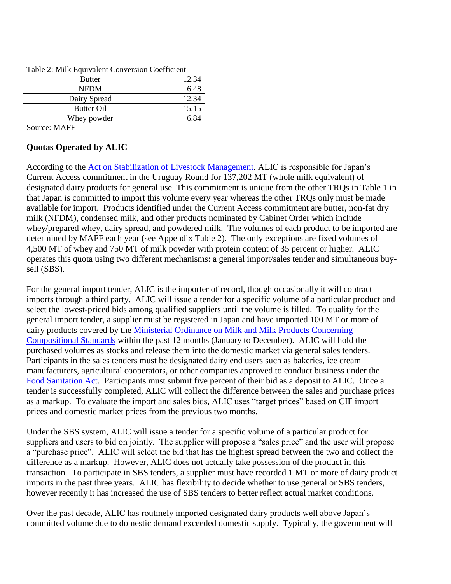| <b>Butter</b> | 12.34 |
|---------------|-------|
| <b>NFDM</b>   | 6.48  |
| Dairy Spread  | 12.34 |
| Butter Oil    | 15.15 |
| Whey powder   | 6.84  |
| $\sim$        |       |

Table 2: Milk Equivalent Conversion Coefficient

Source: MAFF

#### **Quotas Operated by ALIC**

According to the [Act on Stabilization of Livestock Management,](https://elaws.e-gov.go.jp/document?lawid=336AC0000000183_20181230_428AC0000000108) ALIC is responsible for Japan's Current Access commitment in the Uruguay Round for 137,202 MT (whole milk equivalent) of designated dairy products for general use. This commitment is unique from the other TRQs in Table 1 in that Japan is committed to import this volume every year whereas the other TRQs only must be made available for import. Products identified under the Current Access commitment are butter, non-fat dry milk (NFDM), condensed milk, and other products nominated by Cabinet Order which include whey/prepared whey, dairy spread, and powdered milk. The volumes of each product to be imported are determined by MAFF each year (see Appendix Table 2). The only exceptions are fixed volumes of 4,500 MT of whey and 750 MT of milk powder with protein content of 35 percent or higher. ALIC operates this quota using two different mechanisms: a general import/sales tender and simultaneous buysell (SBS).

For the general import tender, ALIC is the importer of record, though occasionally it will contract imports through a third party. ALIC will issue a tender for a specific volume of a particular product and select the lowest-priced bids among qualified suppliers until the volume is filled. To qualify for the general import tender, a supplier must be registered in Japan and have imported 100 MT or more of dairy products covered by the [Ministerial Ordinance on Milk and Milk Products Concerning](https://elaws.e-gov.go.jp/document?lawid=326M50000100052)  [Compositional Standards](https://elaws.e-gov.go.jp/document?lawid=326M50000100052) within the past 12 months (January to December). ALIC will hold the purchased volumes as stocks and release them into the domestic market via general sales tenders. Participants in the sales tenders must be designated dairy end users such as bakeries, ice cream manufacturers, agricultural cooperators, or other companies approved to conduct business under the [Food Sanitation Act.](https://elaws.e-gov.go.jp/document?lawid=322AC0000000233) Participants must submit five percent of their bid as a deposit to ALIC. Once a tender is successfully completed, ALIC will collect the difference between the sales and purchase prices as a markup. To evaluate the import and sales bids, ALIC uses "target prices" based on CIF import prices and domestic market prices from the previous two months.

Under the SBS system, ALIC will issue a tender for a specific volume of a particular product for suppliers and users to bid on jointly. The supplier will propose a "sales price" and the user will propose a "purchase price". ALIC will select the bid that has the highest spread between the two and collect the difference as a markup. However, ALIC does not actually take possession of the product in this transaction. To participate in SBS tenders, a supplier must have recorded 1 MT or more of dairy product imports in the past three years. ALIC has flexibility to decide whether to use general or SBS tenders, however recently it has increased the use of SBS tenders to better reflect actual market conditions.

Over the past decade, ALIC has routinely imported designated dairy products well above Japan's committed volume due to domestic demand exceeded domestic supply. Typically, the government will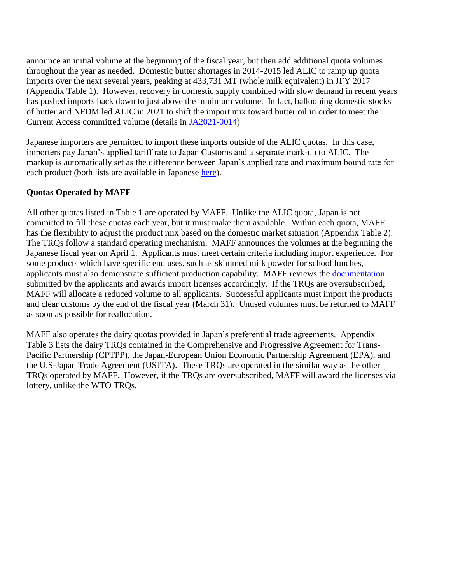announce an initial volume at the beginning of the fiscal year, but then add additional quota volumes throughout the year as needed. Domestic butter shortages in 2014-2015 led ALIC to ramp up quota imports over the next several years, peaking at 433,731 MT (whole milk equivalent) in JFY 2017 (Appendix Table 1). However, recovery in domestic supply combined with slow demand in recent years has pushed imports back down to just above the minimum volume. In fact, ballooning domestic stocks of butter and NFDM led ALIC in 2021 to shift the import mix toward butter oil in order to meet the Current Access committed volume (details in [JA2021-0014\)](https://apps.fas.usda.gov/newgainapi/api/Report/DownloadReportByFileName?fileName=Japan%20Lowers%20Planned%20Butter%20and%20NFDM%20Imports%20for%202021_Tokyo_Japan_01-30-2021)

Japanese importers are permitted to import these imports outside of the ALIC quotas. In this case, importers pay Japan's applied tariff rate to Japan Customs and a separate mark-up to ALIC. The markup is automatically set as the difference between Japan's applied rate and maximum bound rate for each product (both lists are available in Japanese [here\)](https://www.alic.go.jp/r-nyuseihin/raku01_000467.html).

#### **Quotas Operated by MAFF**

All other quotas listed in Table 1 are operated by MAFF. Unlike the ALIC quota, Japan is not committed to fill these quotas each year, but it must make them available. Within each quota, MAFF has the flexibility to adjust the product mix based on the domestic market situation (Appendix Table 2). The TRQs follow a standard operating mechanism. MAFF announces the volumes at the beginning the Japanese fiscal year on April 1. Applicants must meet certain criteria including import experience. For some products which have specific end uses, such as skimmed milk powder for school lunches, applicants must also demonstrate sufficient production capability. MAFF reviews the [documentation](https://www.maff.go.jp/j/kokusai/boueki/triff/t_kanwari/format/index.html) submitted by the applicants and awards import licenses accordingly. If the TRQs are oversubscribed, MAFF will allocate a reduced volume to all applicants. Successful applicants must import the products and clear customs by the end of the fiscal year (March 31). Unused volumes must be returned to MAFF as soon as possible for reallocation.

MAFF also operates the dairy quotas provided in Japan's preferential trade agreements. Appendix Table 3 lists the dairy TRQs contained in the Comprehensive and Progressive Agreement for Trans-Pacific Partnership (CPTPP), the Japan-European Union Economic Partnership Agreement (EPA), and the U.S-Japan Trade Agreement (USJTA). These TRQs are operated in the similar way as the other TRQs operated by MAFF. However, if the TRQs are oversubscribed, MAFF will award the licenses via lottery, unlike the WTO TRQs.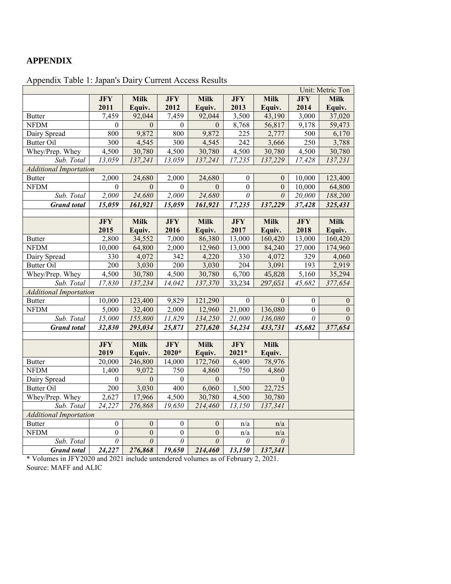### **APPENDIX**

| Unit: Metric Ton              |                  |                |                  |              |                  |                |                  |                  |
|-------------------------------|------------------|----------------|------------------|--------------|------------------|----------------|------------------|------------------|
|                               | <b>JFY</b>       | <b>Milk</b>    | <b>JFY</b>       | <b>Milk</b>  | <b>JFY</b>       | <b>Milk</b>    | <b>JFY</b>       | <b>Milk</b>      |
|                               | 2011             | Equiv.         | 2012             | Equiv.       | 2013             | Equiv.         | 2014             | Equiv.           |
| <b>Butter</b>                 | 7,459            | 92,044         | 7,459            | 92,044       | 3,500            | 43,190         | 3,000            | 37,020           |
| <b>NFDM</b>                   | $\boldsymbol{0}$ | $\overline{0}$ | $\boldsymbol{0}$ | $\theta$     | 8,768            | 56,817         | 9,178            | 59,473           |
| Dairy Spread                  | 800              | 9,872          | 800              | 9,872        | 225              | 2,777          | 500              | 6,170            |
| <b>Butter Oil</b>             | $\overline{300}$ | 4,545          | 300              | 4,545        | 242              | 3,666          | $\overline{250}$ | 3,788            |
| Whey/Prep. Whey               | 4,500            | 30,780         | 4,500            | 30,780       | 4,500            | 30,780         | 4,500            | 30,780           |
| Sub. Total                    | 13,059           | 137,241        | 13,059           | 137,241      | 17,235           | 137,229        | 17,428           | 137,231          |
| <b>Additional Importation</b> |                  |                |                  |              |                  |                |                  |                  |
| <b>Butter</b>                 | 2,000            | 24,680         | 2,000            | 24,680       | $\theta$         | $\theta$       | 10,000           | 123,400          |
| <b>NFDM</b>                   | $\theta$         | $\overline{0}$ | $\theta$         | $\Omega$     | $\overline{0}$   | $\overline{0}$ | 10,000           | 64,800           |
| Sub. Total                    | 2,000            | 24,680         | 2,000            | 24,680       | $\theta$         | $\theta$       | 20,000           | 188,200          |
| <b>Grand</b> total            | 15,059           | 161,921        | 15,059           | 161,921      | 17,235           | 137,229        | 37,428           | 325,431          |
|                               |                  |                |                  |              |                  |                |                  |                  |
|                               | <b>JFY</b>       | <b>Milk</b>    | <b>JFY</b>       | <b>Milk</b>  | <b>JFY</b>       | <b>Milk</b>    | <b>JFY</b>       | <b>Milk</b>      |
|                               | 2015             | Equiv.         | 2016             | Equiv.       | 2017             | Equiv.         | 2018             | Equiv.           |
| <b>Butter</b>                 | 2,800            | 34,552         | 7,000            | 86,380       | 13,000           | 160,420        | 13,000           | 160,420          |
| <b>NFDM</b>                   | 10,000           | 64,800         | 2,000            | 12,960       | 13,000           | 84,240         | 27,000           | 174,960          |
| Dairy Spread                  | 330              | 4,072          | 342              | 4,220        | 330              | 4,072          | 329              | 4,060            |
| <b>Butter Oil</b>             | 200              | 3,030          | 200              | 3,030        | 204              | 3,091          | 193              | 2,919            |
| Whey/Prep. Whey               | 4,500            | 30,780         | 4,500            | 30,780       | 6,700            | 45,828         | 5,160            | 35,294           |
| Sub. Total                    | 17,830           | 137,234        | 14,042           | 137,370      | 33,234           | 297,651        | 45,682           | 377,654          |
| <b>Additional Importation</b> |                  |                |                  |              |                  |                |                  |                  |
| <b>Butter</b>                 | 10,000           | 123,400        | 9,829            | 121,290      | $\boldsymbol{0}$ | $\mathbf{0}$   | $\mathbf{0}$     | $\boldsymbol{0}$ |
| <b>NFDM</b>                   | 5,000            | 32,400         | 2,000            | 12,960       | 21,000           | 136,080        | $\boldsymbol{0}$ | $\mathbf{0}$     |
| Sub. Total                    | 15,000           | 155,800        | 11,829           | 134,250      | 21,000           | 136,080        | $\theta$         | $\Omega$         |
| <b>Grand</b> total            | 32,830           | 293,034        | 25,871           | 271,620      | 54,234           | 433,731        | 45,682           | 377,654          |
|                               |                  |                |                  |              |                  |                |                  |                  |
|                               | <b>JFY</b>       | <b>Milk</b>    | <b>JFY</b>       | <b>Milk</b>  | <b>JFY</b>       | <b>Milk</b>    |                  |                  |
|                               | 2019             | Equiv.         | $2020*$          | Equiv.       | $2021*$          | Equiv.         |                  |                  |
| <b>Butter</b>                 | 20,000           | 246,800        | 14,000           | 172,760      | 6,400            | 78,976         |                  |                  |
| <b>NFDM</b>                   | 1,400            | 9,072          | 750              | 4,860        | 750              | 4,860          |                  |                  |
| Dairy Spread                  | $\theta$         | $\overline{0}$ | $\boldsymbol{0}$ | $\mathbf{0}$ |                  | $\theta$       |                  |                  |
| <b>Butter Oil</b>             | 200              | 3,030          | $\overline{400}$ | 6,060        | 1,500            | 22,725         |                  |                  |
| Whey/Prep. Whey               | 2,627            | 17,966         | 4,500            | 30,780       | 4,500            | 30,780         |                  |                  |
| Sub. Total                    | 24,227           | 276,868        | 19,650           | 214,460      | 13,150           | 137,341        |                  |                  |
| <b>Additional Importation</b> |                  |                |                  |              |                  |                |                  |                  |
| <b>Butter</b>                 | $\mathbf{0}$     | $\mathbf{0}$   | $\mathbf{0}$     | $\mathbf{0}$ | n/a              | n/a            |                  |                  |
| <b>NFDM</b>                   | $\overline{0}$   | $\overline{0}$ | $\overline{0}$   | $\mathbf{0}$ | n/a              | n/a            |                  |                  |
| Sub. Total                    | $\theta$         | $\theta$       | 0                | $\theta$     | 0                | $\theta$       |                  |                  |
| <b>Grand</b> total            | 24,227           | 276,868        | 19,650           | 214,460      | 13,150           | 137,341        |                  |                  |

Appendix Table 1: Japan's Dairy Current Access Results

\* Volumes in JFY2020 and 2021 include untendered volumes as of February 2, 2021. Source: MAFF and ALIC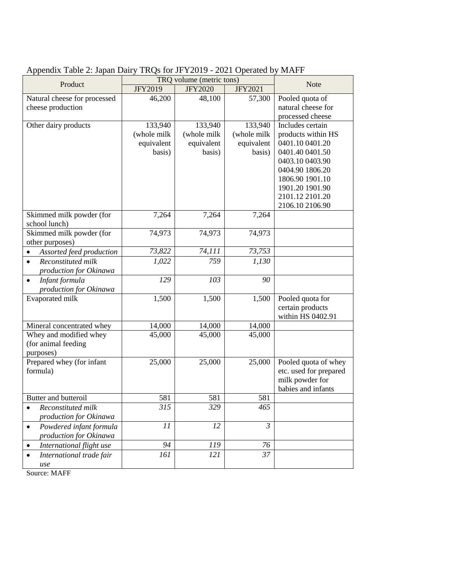| Product                                   | TRQ volume (metric tons) | <b>Note</b>    |                |                        |
|-------------------------------------------|--------------------------|----------------|----------------|------------------------|
|                                           | <b>JFY2019</b>           | <b>JFY2020</b> | <b>JFY2021</b> |                        |
| Natural cheese for processed              | 46,200                   | 48,100         | 57,300         | Pooled quota of        |
| cheese production                         |                          |                |                | natural cheese for     |
|                                           |                          |                |                | processed cheese       |
| Other dairy products                      | 133,940                  | 133,940        | 133,940        | Includes certain       |
|                                           | (whole milk              | (whole milk    | (whole milk    | products within HS     |
|                                           | equivalent               | equivalent     | equivalent     | 0401.10 0401.20        |
|                                           | basis)                   | basis)         | basis)         | 0401.40 0401.50        |
|                                           |                          |                |                | 0403.10 0403.90        |
|                                           |                          |                |                | 0404.90 1806.20        |
|                                           |                          |                |                | 1806.90 1901.10        |
|                                           |                          |                |                | 1901.20 1901.90        |
|                                           |                          |                |                | 2101.12 2101.20        |
|                                           |                          |                |                | 2106.10 2106.90        |
| Skimmed milk powder (for<br>school lunch) | 7,264                    | 7,264          | 7,264          |                        |
| Skimmed milk powder (for                  | 74,973                   | 74,973         | 74,973         |                        |
| other purposes)                           |                          |                |                |                        |
| Assorted feed production<br>$\bullet$     | 73,822                   | 74,111         | 73,753         |                        |
| Reconstituted milk<br>$\bullet$           | 1,022                    | 759            | 1,130          |                        |
| production for Okinawa                    |                          |                |                |                        |
| Infant formula<br>$\bullet$               | 129                      | 103            | 90             |                        |
| production for Okinawa                    |                          |                |                |                        |
| Evaporated milk                           | 1,500                    | 1,500          | 1,500          | Pooled quota for       |
|                                           |                          |                |                | certain products       |
|                                           |                          |                |                | within HS 0402.91      |
| Mineral concentrated whey                 | 14,000                   | 14,000         | 14,000         |                        |
| Whey and modified whey                    | 45,000                   | 45,000         | 45,000         |                        |
| (for animal feeding                       |                          |                |                |                        |
| purposes)                                 |                          |                |                |                        |
| Prepared whey (for infant                 | 25,000                   | 25,000         | 25,000         | Pooled quota of whey   |
| formula)                                  |                          |                |                | etc. used for prepared |
|                                           |                          |                |                | milk powder for        |
|                                           |                          |                |                | babies and infants     |
| Butter and butteroil                      | 581                      | 581            | 581            |                        |
| Reconstituted milk                        | 315                      | 329            | 465            |                        |
| production for Okinawa                    |                          |                |                |                        |
| Powdered infant formula<br>$\bullet$      | 11                       | 12             | $\mathfrak{Z}$ |                        |
| production for Okinawa                    |                          |                |                |                        |
| International flight use<br>$\bullet$     | 94                       | 119            | 76             |                        |
| International trade fair                  | 161                      | 121            | 37             |                        |
| use<br>$S_{\text{out}}$ MAE               |                          |                |                |                        |

## Appendix Table 2: Japan Dairy TRQs for JFY2019 - 2021 Operated by MAFF

Source: MAFF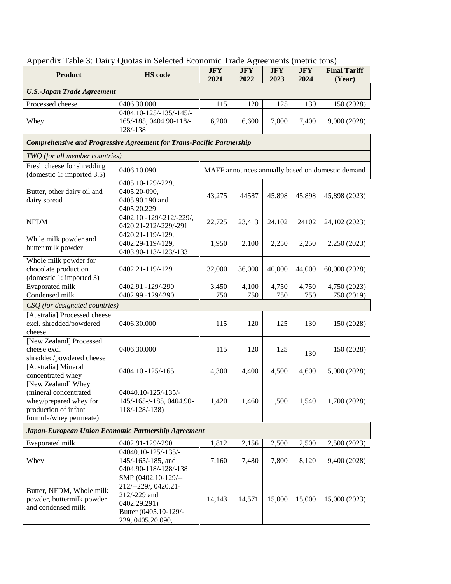| Appendix Table 3: Dairy Quotas in Selected Economic Trade Agreements (metric tons)                                      |                                                                                                                           |                    |                    |                    |                    |                               |  |
|-------------------------------------------------------------------------------------------------------------------------|---------------------------------------------------------------------------------------------------------------------------|--------------------|--------------------|--------------------|--------------------|-------------------------------|--|
| <b>Product</b>                                                                                                          | <b>HS</b> code                                                                                                            | <b>JFY</b><br>2021 | <b>JFY</b><br>2022 | <b>JFY</b><br>2023 | <b>JFY</b><br>2024 | <b>Final Tariff</b><br>(Year) |  |
| <b>U.S.-Japan Trade Agreement</b>                                                                                       |                                                                                                                           |                    |                    |                    |                    |                               |  |
| Processed cheese                                                                                                        | 0406.30.000                                                                                                               | 115                | 120                | 125                | 130                | 150 (2028)                    |  |
| Whey                                                                                                                    | 0404.10-125/-135/-145/-<br>165/-185, 0404.90-118/-<br>128/-138                                                            | 6,200              | 6,600              | 7,000              | 7,400              | 9,000 (2028)                  |  |
| Comprehensive and Progressive Agreement for Trans-Pacific Partnership                                                   |                                                                                                                           |                    |                    |                    |                    |                               |  |
| TWQ (for all member countries)                                                                                          |                                                                                                                           |                    |                    |                    |                    |                               |  |
| Fresh cheese for shredding<br>(domestic 1: imported 3.5)                                                                | 0406.10.090<br>MAFF announces annually based on domestic demand                                                           |                    |                    |                    |                    |                               |  |
| Butter, other dairy oil and<br>dairy spread                                                                             | 0405.10-129/-229,<br>0405.20-090,<br>0405.90.190 and<br>0405.20.229                                                       | 43,275             | 44587              | 45,898             | 45,898             | 45,898 (2023)                 |  |
| <b>NFDM</b>                                                                                                             | 0402.10 -129/-212/-229/,<br>0420.21-212/-229/-291                                                                         | 22,725             | 23,413             | 24,102             | 24102              | 24,102 (2023)                 |  |
| While milk powder and<br>butter milk powder                                                                             | 0420.21-119/-129,<br>0402.29-119/-129,<br>0403.90-113/-123/-133                                                           | 1,950              | 2,100              | 2,250              | 2,250              | 2,250 (2023)                  |  |
| Whole milk powder for<br>chocolate production<br>(domestic 1: imported 3)                                               | 0402.21-119/-129                                                                                                          | 32,000             | 36,000             | 40,000             | 44,000             | 60,000 (2028)                 |  |
| Evaporated milk                                                                                                         | 0402.91 -129/-290                                                                                                         | 3,450              | 4,100              | 4,750              | 4,750              | 4,750 (2023)                  |  |
| Condensed milk                                                                                                          | 0402.99 -129/-290                                                                                                         | 750                | 750                | 750                | 750                | 750 (2019)                    |  |
| CSQ (for designated countries)                                                                                          |                                                                                                                           |                    |                    |                    |                    |                               |  |
| [Australia] Processed cheese<br>excl. shredded/powdered<br>cheese                                                       | 0406.30.000                                                                                                               | 115                | 120                | 125                | 130                | 150 (2028)                    |  |
| [New Zealand] Processed<br>cheese excl.<br>shredded/powdered cheese                                                     | 0406.30.000                                                                                                               | 115                | 120                | 125                | 130                | 150 (2028)                    |  |
| [Australia] Mineral<br>concentrated whey                                                                                | 0404.10 -125/-165                                                                                                         | 4,300              | 4,400              | 4,500              | 4,600              | 5,000 (2028)                  |  |
| [New Zealand] Whey<br>(mineral concentrated<br>whey/prepared whey for<br>production of infant<br>formula/whey permeate) | 04040.10-125/-135/-<br>145/-165-/-185, 0404.90-<br>$118/-128/-138$                                                        | 1,420              | 1,460              | 1,500              | 1,540              | 1,700 (2028)                  |  |
| Japan-European Union Economic Partnership Agreement                                                                     |                                                                                                                           |                    |                    |                    |                    |                               |  |
| Evaporated milk                                                                                                         | 0402.91-129/-290                                                                                                          | 1,812              | 2,156              | 2,500              | 2,500              | 2,500 (2023)                  |  |
| Whey                                                                                                                    | 04040.10-125/-135/-<br>145/-165/-185, and<br>0404.90-118/-128/-138                                                        | 7,160              | 7,480              | 7,800              | 8,120              | 9,400 (2028)                  |  |
| Butter, NFDM, Whole milk<br>powder, buttermilk powder<br>and condensed milk                                             | SMP (0402.10-129/--<br>212/--229/, 0420.21-<br>212/-229 and<br>0402.29.291)<br>Butter (0405.10-129/-<br>229, 0405.20.090, | 14,143             | 14,571             | 15,000             | 15,000             | 15,000 (2023)                 |  |